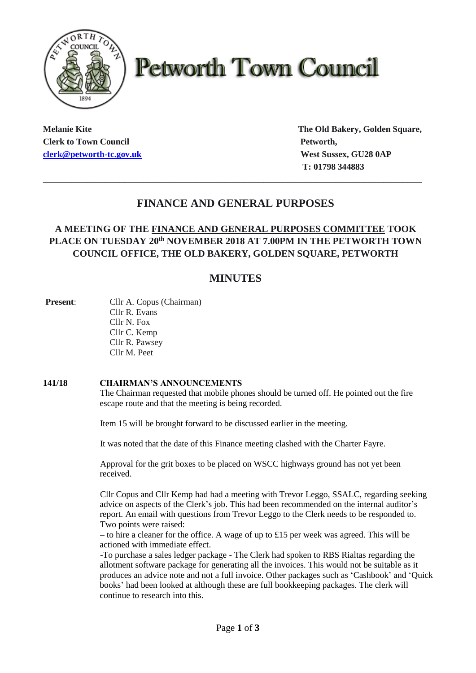

# **Petworth Town Council**

**Clerk to Town Council Petworth, [clerk@petworth-tc.gov.uk](mailto:clerk@petworth-tc.gov.uk) West Sussex, GU28 0AP**

**Melanie Kite The Old Bakery, Golden Square, T: 01798 344883**

## **FINANCE AND GENERAL PURPOSES**

**\_\_\_\_\_\_\_\_\_\_\_\_\_\_\_\_\_\_\_\_\_\_\_\_\_\_\_\_\_\_\_\_\_\_\_\_\_\_\_\_\_\_\_\_\_\_\_\_\_\_\_\_\_\_\_\_\_\_\_\_\_\_\_\_\_\_\_\_\_\_\_\_\_\_\_\_\_\_\_**

### **A MEETING OF THE FINANCE AND GENERAL PURPOSES COMMITTEE TOOK PLACE ON TUESDAY 20 th NOVEMBER 2018 AT 7.00PM IN THE PETWORTH TOWN COUNCIL OFFICE, THE OLD BAKERY, GOLDEN SQUARE, PETWORTH**

## **MINUTES**

**Present:** Cllr A. Copus (Chairman) Cllr R. Evans Cllr N. Fox Cllr C. Kemp Cllr R. Pawsey Cllr M. Peet

#### **141/18 CHAIRMAN'S ANNOUNCEMENTS**

The Chairman requested that mobile phones should be turned off. He pointed out the fire escape route and that the meeting is being recorded.

Item 15 will be brought forward to be discussed earlier in the meeting.

It was noted that the date of this Finance meeting clashed with the Charter Fayre.

Approval for the grit boxes to be placed on WSCC highways ground has not yet been received.

Cllr Copus and Cllr Kemp had had a meeting with Trevor Leggo, SSALC, regarding seeking advice on aspects of the Clerk's job. This had been recommended on the internal auditor's report. An email with questions from Trevor Leggo to the Clerk needs to be responded to. Two points were raised:

– to hire a cleaner for the office. A wage of up to £15 per week was agreed. This will be actioned with immediate effect.

-To purchase a sales ledger package - The Clerk had spoken to RBS Rialtas regarding the allotment software package for generating all the invoices. This would not be suitable as it produces an advice note and not a full invoice. Other packages such as 'Cashbook' and 'Quick books' had been looked at although these are full bookkeeping packages. The clerk will continue to research into this.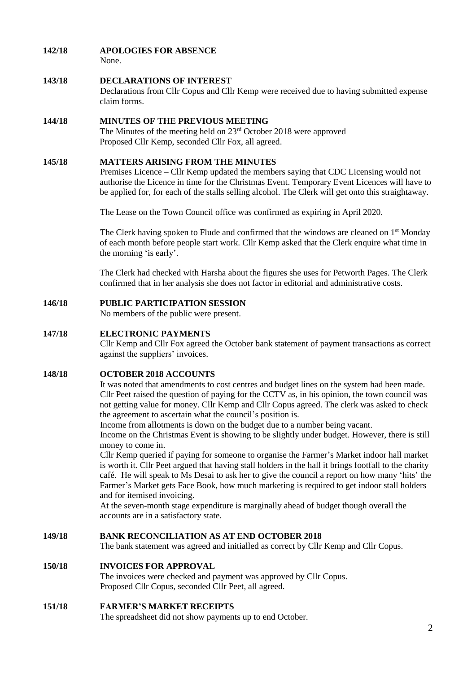#### **142/18 APOLOGIES FOR ABSENCE**

None.

#### **143/18 DECLARATIONS OF INTEREST**

Declarations from Cllr Copus and Cllr Kemp were received due to having submitted expense claim forms.

#### **144/18 MINUTES OF THE PREVIOUS MEETING**

The Minutes of the meeting held on 23rd October 2018 were approved Proposed Cllr Kemp, seconded Cllr Fox, all agreed.

#### **145/18 MATTERS ARISING FROM THE MINUTES**

Premises Licence – Cllr Kemp updated the members saying that CDC Licensing would not authorise the Licence in time for the Christmas Event. Temporary Event Licences will have to be applied for, for each of the stalls selling alcohol. The Clerk will get onto this straightaway.

The Lease on the Town Council office was confirmed as expiring in April 2020.

The Clerk having spoken to Flude and confirmed that the windows are cleaned on 1<sup>st</sup> Monday of each month before people start work. Cllr Kemp asked that the Clerk enquire what time in the morning 'is early'.

The Clerk had checked with Harsha about the figures she uses for Petworth Pages. The Clerk confirmed that in her analysis she does not factor in editorial and administrative costs.

#### **146/18 PUBLIC PARTICIPATION SESSION**

No members of the public were present.

#### **147/18 ELECTRONIC PAYMENTS**

Cllr Kemp and Cllr Fox agreed the October bank statement of payment transactions as correct against the suppliers' invoices.

#### **148/18 OCTOBER 2018 ACCOUNTS**

It was noted that amendments to cost centres and budget lines on the system had been made. Cllr Peet raised the question of paying for the CCTV as, in his opinion, the town council was not getting value for money. Cllr Kemp and Cllr Copus agreed. The clerk was asked to check the agreement to ascertain what the council's position is.

Income from allotments is down on the budget due to a number being vacant.

Income on the Christmas Event is showing to be slightly under budget. However, there is still money to come in.

Cllr Kemp queried if paying for someone to organise the Farmer's Market indoor hall market is worth it. Cllr Peet argued that having stall holders in the hall it brings footfall to the charity café. He will speak to Ms Desai to ask her to give the council a report on how many 'hits' the Farmer's Market gets Face Book, how much marketing is required to get indoor stall holders and for itemised invoicing.

At the seven-month stage expenditure is marginally ahead of budget though overall the accounts are in a satisfactory state.

#### **149/18 BANK RECONCILIATION AS AT END OCTOBER 2018**

The bank statement was agreed and initialled as correct by Cllr Kemp and Cllr Copus.

#### **150/18 INVOICES FOR APPROVAL**

The invoices were checked and payment was approved by Cllr Copus. Proposed Cllr Copus, seconded Cllr Peet, all agreed.

#### **151/18 FARMER'S MARKET RECEIPTS**

The spreadsheet did not show payments up to end October.